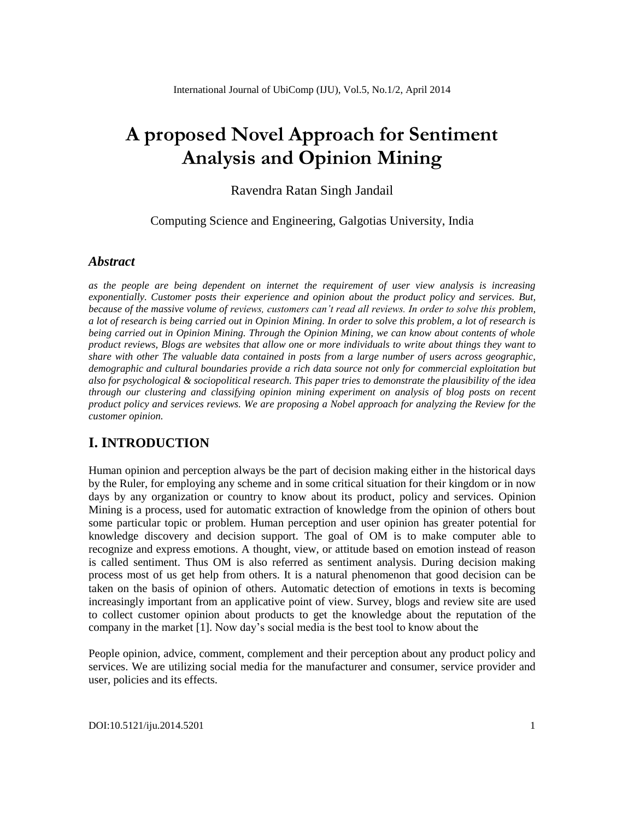# **A proposed Novel Approach for Sentiment Analysis and Opinion Mining**

### Ravendra Ratan Singh Jandail

Computing Science and Engineering, Galgotias University, India

### *Abstract*

*as the people are being dependent on internet the requirement of user view analysis is increasing exponentially. Customer posts their experience and opinion about the product policy and services. But, because of the massive volume of reviews, customers can't read all reviews. In order to solve this problem, a lot of research is being carried out in Opinion Mining. In order to solve this problem, a lot of research is being carried out in Opinion Mining. Through the Opinion Mining, we can know about contents of whole product reviews, Blogs are websites that allow one or more individuals to write about things they want to share with other The valuable data contained in posts from a large number of users across geographic, demographic and cultural boundaries provide a rich data source not only for commercial exploitation but also for psychological & sociopolitical research. This paper tries to demonstrate the plausibility of the idea through our clustering and classifying opinion mining experiment on analysis of blog posts on recent product policy and services reviews. We are proposing a Nobel approach for analyzing the Review for the customer opinion.*

## **I. INTRODUCTION**

Human opinion and perception always be the part of decision making either in the historical days by the Ruler, for employing any scheme and in some critical situation for their kingdom or in now days by any organization or country to know about its product, policy and services. Opinion Mining is a process, used for automatic extraction of knowledge from the opinion of others bout some particular topic or problem. Human perception and user opinion has greater potential for knowledge discovery and decision support. The goal of OM is to make computer able to recognize and express emotions. A thought, view, or attitude based on emotion instead of reason is called sentiment. Thus OM is also referred as sentiment analysis. During decision making process most of us get help from others. It is a natural phenomenon that good decision can be taken on the basis of opinion of others. Automatic detection of emotions in texts is becoming increasingly important from an applicative point of view. Survey, blogs and review site are used to collect customer opinion about products to get the knowledge about the reputation of the company in the market [1]. Now day's social media is the best tool to know about the

People opinion, advice, comment, complement and their perception about any product policy and services. We are utilizing social media for the manufacturer and consumer, service provider and user, policies and its effects.

DOI:10.5121/iju.2014.5201 1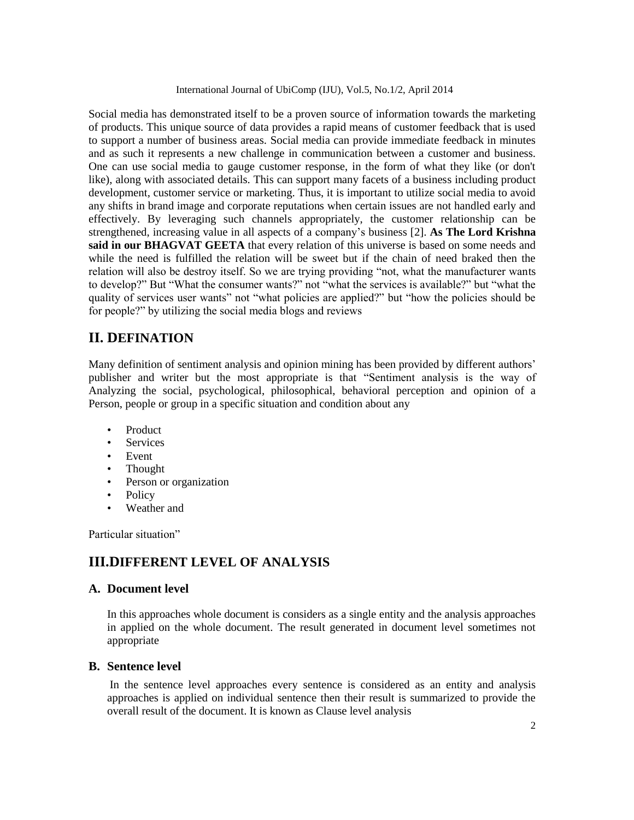Social media has demonstrated itself to be a proven source of information towards the marketing of products. This unique source of data provides a rapid means of customer feedback that is used to support a number of business areas*.* Social media can provide immediate feedback in minutes and as such it represents a new challenge in communication between a customer and business. One can use social media to gauge customer response, in the form of what they like (or don't like), along with associated details. This can support many facets of a business including product development, customer service or marketing. Thus, it is important to utilize social media to avoid any shifts in brand image and corporate reputations when certain issues are not handled early and effectively. By leveraging such channels appropriately, the customer relationship can be strengthened, increasing value in all aspects of a company's business [2]. **As The Lord Krishna said in our BHAGVAT GEETA** that every relation of this universe is based on some needs and while the need is fulfilled the relation will be sweet but if the chain of need braked then the relation will also be destroy itself. So we are trying providing "not, what the manufacturer wants to develop?" But "What the consumer wants?" not "what the services is available?" but "what the quality of services user wants" not "what policies are applied?" but "how the policies should be for people?" by utilizing the social media blogs and reviews

## **II. DEFINATION**

Many definition of sentiment analysis and opinion mining has been provided by different authors' publisher and writer but the most appropriate is that "Sentiment analysis is the way of Analyzing the social, psychological, philosophical, behavioral perception and opinion of a Person, people or group in a specific situation and condition about any

- Product
- **Services**
- Event
- Thought
- Person or organization
- **Policy**
- Weather and

Particular situation"

## **III.DIFFERENT LEVEL OF ANALYSIS**

#### **A. Document level**

In this approaches whole document is considers as a single entity and the analysis approaches in applied on the whole document. The result generated in document level sometimes not appropriate

#### **B. Sentence level**

In the sentence level approaches every sentence is considered as an entity and analysis approaches is applied on individual sentence then their result is summarized to provide the overall result of the document. It is known as Clause level analysis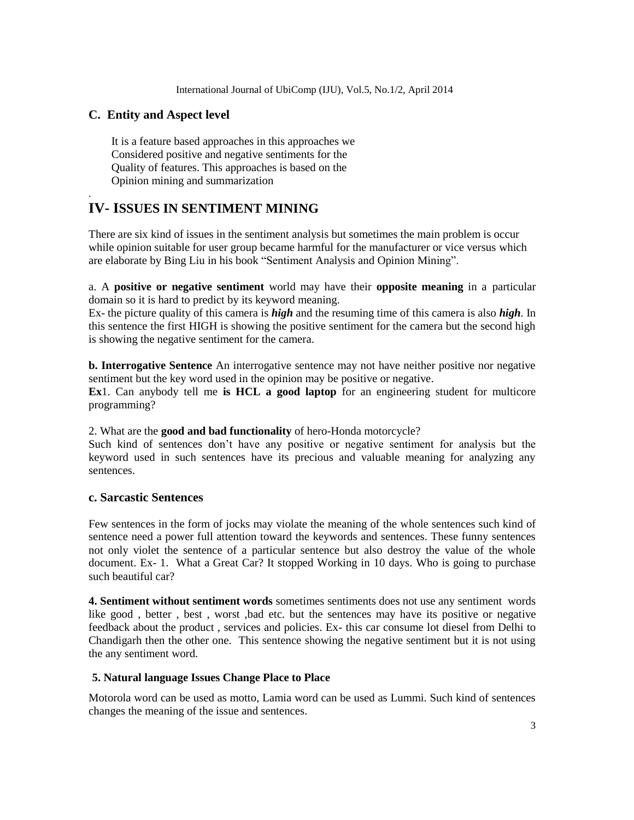#### **C. Entity and Aspect level**

.

 It is a feature based approaches in this approaches we Considered positive and negative sentiments for the Quality of features. This approaches is based on the Opinion mining and summarization

## **IV- ISSUES IN SENTIMENT MINING**

There are six kind of issues in the sentiment analysis but sometimes the main problem is occur while opinion suitable for user group became harmful for the manufacturer or vice versus which are elaborate by Bing Liu in his book "Sentiment Analysis and Opinion Mining".

a. A **positive or negative sentiment** world may have their **opposite meaning** in a particular domain so it is hard to predict by its keyword meaning.

Ex- the picture quality of this camera is *high* and the resuming time of this camera is also *high.* In this sentence the first HIGH is showing the positive sentiment for the camera but the second high is showing the negative sentiment for the camera.

**b. Interrogative Sentence** An interrogative sentence may not have neither positive nor negative sentiment but the key word used in the opinion may be positive or negative.

**Ex**1. Can anybody tell me **is HCL a good laptop** for an engineering student for multicore programming?

2. What are the **good and bad functionality** of hero-Honda motorcycle?

Such kind of sentences don't have any positive or negative sentiment for analysis but the keyword used in such sentences have its precious and valuable meaning for analyzing any sentences.

#### **c. Sarcastic Sentences**

Few sentences in the form of jocks may violate the meaning of the whole sentences such kind of sentence need a power full attention toward the keywords and sentences. These funny sentences not only violet the sentence of a particular sentence but also destroy the value of the whole document. Ex- 1. What a Great Car? It stopped Working in 10 days. Who is going to purchase such beautiful car?

**4. Sentiment without sentiment words** sometimes sentiments does not use any sentiment words like good , better , best , worst ,bad etc. but the sentences may have its positive or negative feedback about the product , services and policies. Ex- this car consume lot diesel from Delhi to Chandigarh then the other one. This sentence showing the negative sentiment but it is not using the any sentiment word.

#### **5. Natural language Issues Change Place to Place**

Motorola word can be used as motto, Lamia word can be used as Lummi. Such kind of sentences changes the meaning of the issue and sentences.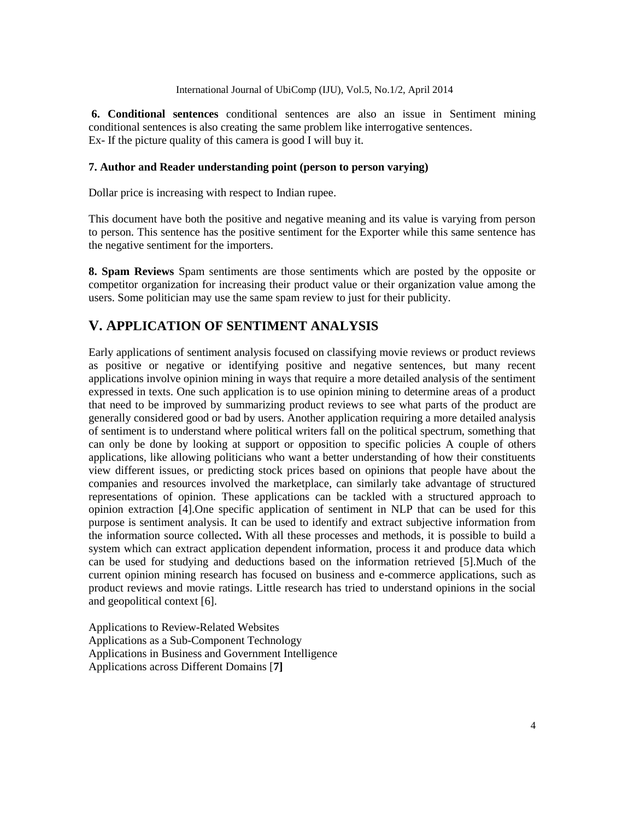**6. Conditional sentences** conditional sentences are also an issue in Sentiment mining conditional sentences is also creating the same problem like interrogative sentences. Ex- If the picture quality of this camera is good I will buy it.

#### **7. Author and Reader understanding point (person to person varying)**

Dollar price is increasing with respect to Indian rupee.

This document have both the positive and negative meaning and its value is varying from person to person. This sentence has the positive sentiment for the Exporter while this same sentence has the negative sentiment for the importers.

**8. Spam Reviews** Spam sentiments are those sentiments which are posted by the opposite or competitor organization for increasing their product value or their organization value among the users. Some politician may use the same spam review to just for their publicity.

## **V. APPLICATION OF SENTIMENT ANALYSIS**

Early applications of sentiment analysis focused on classifying movie reviews or product reviews as positive or negative or identifying positive and negative sentences, but many recent applications involve opinion mining in ways that require a more detailed analysis of the sentiment expressed in texts. One such application is to use opinion mining to determine areas of a product that need to be improved by summarizing product reviews to see what parts of the product are generally considered good or bad by users. Another application requiring a more detailed analysis of sentiment is to understand where political writers fall on the political spectrum, something that can only be done by looking at support or opposition to specific policies A couple of others applications, like allowing politicians who want a better understanding of how their constituents view different issues, or predicting stock prices based on opinions that people have about the companies and resources involved the marketplace, can similarly take advantage of structured representations of opinion. These applications can be tackled with a structured approach to opinion extraction [4].One specific application of sentiment in NLP that can be used for this purpose is sentiment analysis. It can be used to identify and extract subjective information from the information source collected**.** With all these processes and methods, it is possible to build a system which can extract application dependent information, process it and produce data which can be used for studying and deductions based on the information retrieved [5].Much of the current opinion mining research has focused on business and e-commerce applications, such as product reviews and movie ratings. Little research has tried to understand opinions in the social and geopolitical context [6].

Applications to Review-Related Websites Applications as a Sub-Component Technology Applications in Business and Government Intelligence Applications across Different Domains [**7]**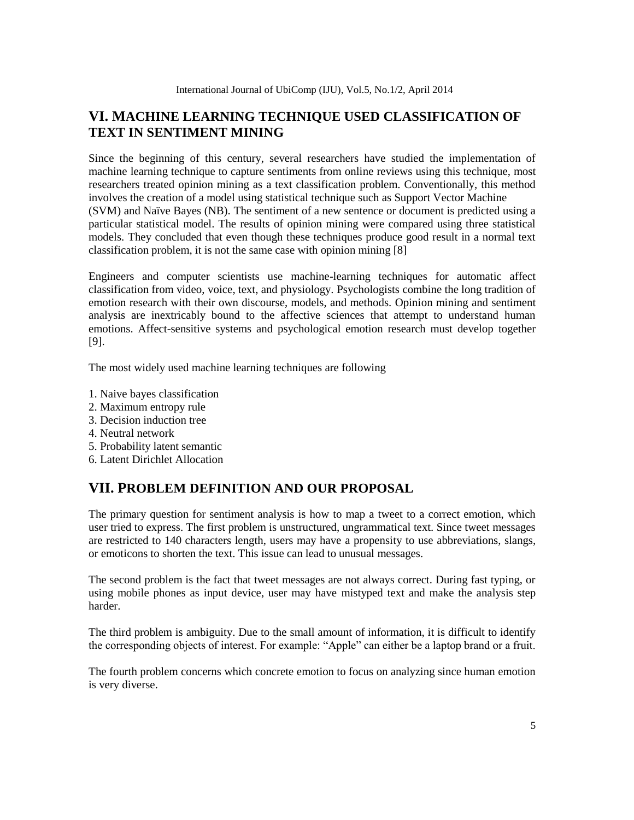## **VI. MACHINE LEARNING TECHNIQUE USED CLASSIFICATION OF TEXT IN SENTIMENT MINING**

Since the beginning of this century, several researchers have studied the implementation of machine learning technique to capture sentiments from online reviews using this technique, most researchers treated opinion mining as a text classification problem. Conventionally, this method involves the creation of a model using statistical technique such as Support Vector Machine (SVM) and Naïve Bayes (NB). The sentiment of a new sentence or document is predicted using a particular statistical model. The results of opinion mining were compared using three statistical models. They concluded that even though these techniques produce good result in a normal text classification problem, it is not the same case with opinion mining [8]

Engineers and computer scientists use machine-learning techniques for automatic affect classification from video, voice, text, and physiology. Psychologists combine the long tradition of emotion research with their own discourse, models, and methods. Opinion mining and sentiment analysis are inextricably bound to the affective sciences that attempt to understand human emotions. Affect-sensitive systems and psychological emotion research must develop together [9].

The most widely used machine learning techniques are following

- 1. Naive bayes classification
- 2. Maximum entropy rule
- 3. Decision induction tree
- 4. Neutral network
- 5. Probability latent semantic
- 6. Latent Dirichlet Allocation

## **VII. PROBLEM DEFINITION AND OUR PROPOSAL**

The primary question for sentiment analysis is how to map a tweet to a correct emotion, which user tried to express. The first problem is unstructured, ungrammatical text. Since tweet messages are restricted to 140 characters length, users may have a propensity to use abbreviations, slangs, or emoticons to shorten the text. This issue can lead to unusual messages.

The second problem is the fact that tweet messages are not always correct. During fast typing, or using mobile phones as input device, user may have mistyped text and make the analysis step harder.

The third problem is ambiguity. Due to the small amount of information, it is difficult to identify the corresponding objects of interest. For example: "Apple" can either be a laptop brand or a fruit.

The fourth problem concerns which concrete emotion to focus on analyzing since human emotion is very diverse.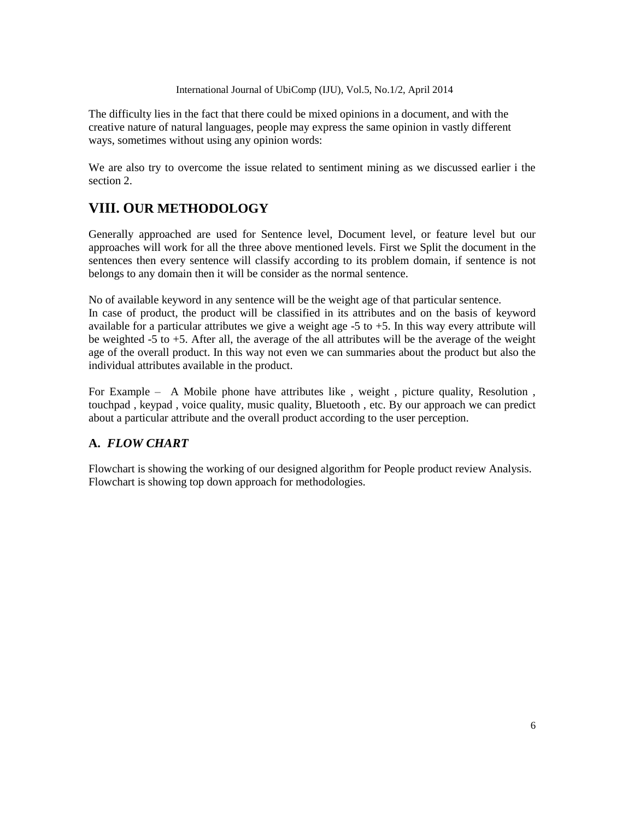International Journal of UbiComp (IJU), Vol.5, No.1/2, April 2014

The difficulty lies in the fact that there could be mixed opinions in a document, and with the creative nature of natural languages, people may express the same opinion in vastly different ways, sometimes without using any opinion words:

We are also try to overcome the issue related to sentiment mining as we discussed earlier i the section 2.

## **VIII. OUR METHODOLOGY**

Generally approached are used for Sentence level, Document level, or feature level but our approaches will work for all the three above mentioned levels. First we Split the document in the sentences then every sentence will classify according to its problem domain, if sentence is not belongs to any domain then it will be consider as the normal sentence.

No of available keyword in any sentence will be the weight age of that particular sentence.

In case of product, the product will be classified in its attributes and on the basis of keyword available for a particular attributes we give a weight age -5 to +5. In this way every attribute will be weighted -5 to +5. After all, the average of the all attributes will be the average of the weight age of the overall product. In this way not even we can summaries about the product but also the individual attributes available in the product.

For Example – A Mobile phone have attributes like , weight , picture quality, Resolution , touchpad , keypad , voice quality, music quality, Bluetooth , etc. By our approach we can predict about a particular attribute and the overall product according to the user perception.

## **A.** *FLOW CHART*

Flowchart is showing the working of our designed algorithm for People product review Analysis. Flowchart is showing top down approach for methodologies.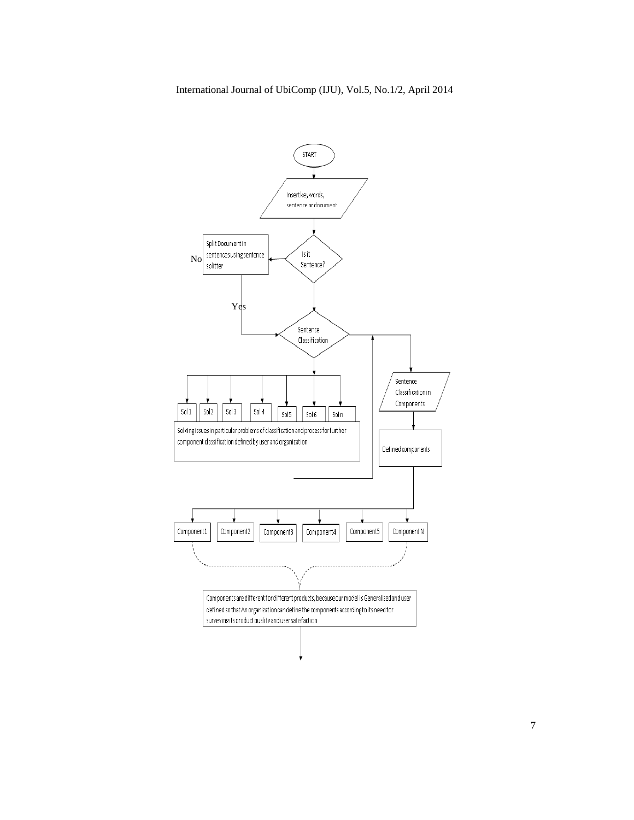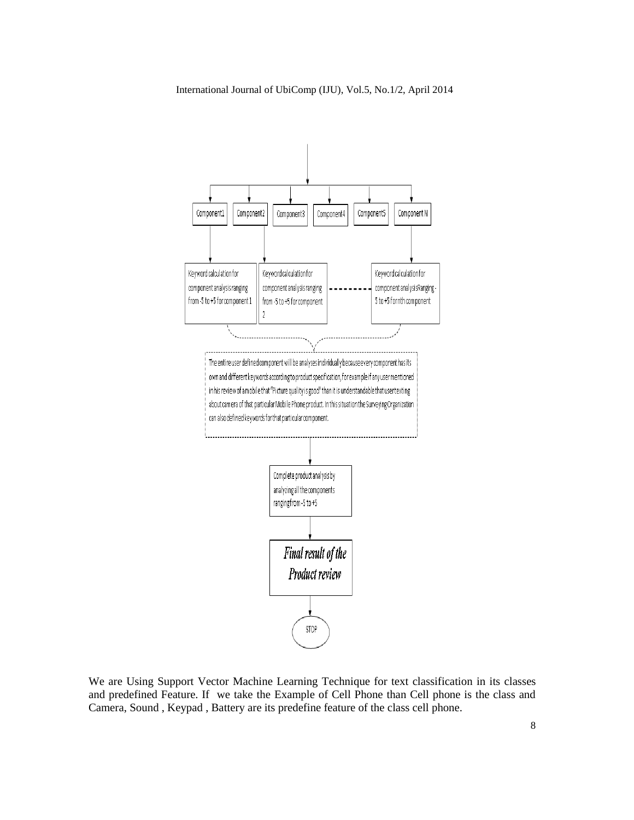

We are Using Support Vector Machine Learning Technique for text classification in its classes and predefined Feature. If we take the Example of Cell Phone than Cell phone is the class and Camera, Sound , Keypad , Battery are its predefine feature of the class cell phone.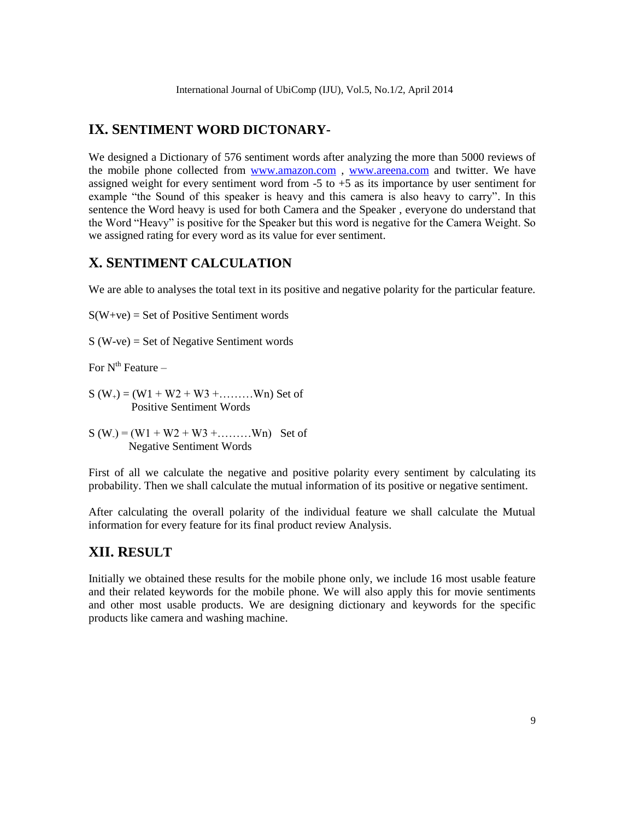## **IX. SENTIMENT WORD DICTONARY-**

We designed a Dictionary of 576 sentiment words after analyzing the more than 5000 reviews of the mobile phone collected from [www.amazon.com](http://www.amazon.com/), [www.areena.com](http://www.areena.com/) and twitter. We have assigned weight for every sentiment word from  $-5$  to  $+5$  as its importance by user sentiment for example "the Sound of this speaker is heavy and this camera is also heavy to carry". In this sentence the Word heavy is used for both Camera and the Speaker , everyone do understand that the Word "Heavy" is positive for the Speaker but this word is negative for the Camera Weight. So we assigned rating for every word as its value for ever sentiment.

## **X. SENTIMENT CALCULATION**

We are able to analyses the total text in its positive and negative polarity for the particular feature.

 $S(W+ve) = Set of Positive Sentiment words$ 

S (W-ve) = Set of Negative Sentiment words

For  $N^{th}$  Feature –

 $S(W_+) = (W1 + W2 + W3 + \dots Wn)$  Set of Positive Sentiment Words

 $S(W_{-}) = (W_1 + W_2 + W_3 + \dots W_n)$  Set of Negative Sentiment Words

First of all we calculate the negative and positive polarity every sentiment by calculating its probability. Then we shall calculate the mutual information of its positive or negative sentiment.

After calculating the overall polarity of the individual feature we shall calculate the Mutual information for every feature for its final product review Analysis.

## **XII. RESULT**

Initially we obtained these results for the mobile phone only, we include 16 most usable feature and their related keywords for the mobile phone. We will also apply this for movie sentiments and other most usable products. We are designing dictionary and keywords for the specific products like camera and washing machine.